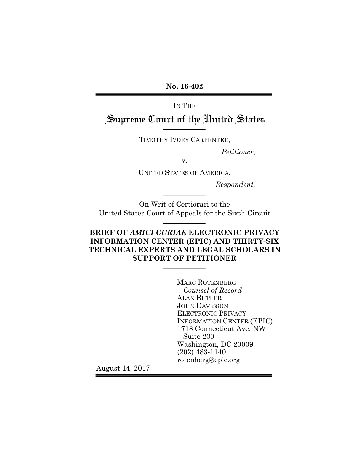**No. 16-402**

IN THE

# Supreme Court of the United States

TIMOTHY IVORY CARPENTER,

*Petitioner*,

v.

UNITED STATES OF AMERICA,

*Respondent.*

On Writ of Certiorari to the United States Court of Appeals for the Sixth Circuit

## **BRIEF OF** *AMICI CURIAE* **ELECTRONIC PRIVACY INFORMATION CENTER (EPIC) AND THIRTY-SIX TECHNICAL EXPERTS AND LEGAL SCHOLARS IN SUPPORT OF PETITIONER**

MARC ROTENBERG *Counsel of Record* ALAN BUTLER JOHN DAVISSON ELECTRONIC PRIVACY INFORMATION CENTER (EPIC) 1718 Connecticut Ave. NW Suite 200 Washington, DC 20009 (202) 483-1140 rotenberg@epic.org

August 14, 2017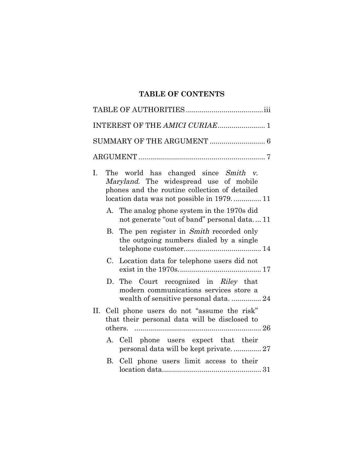## **TABLE OF CONTENTS**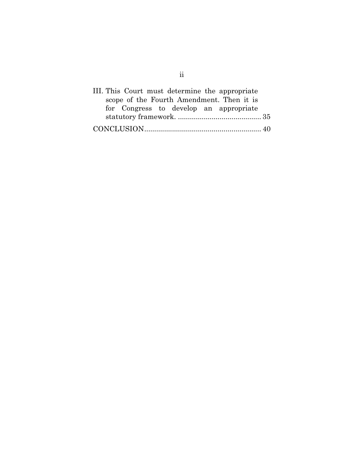| III. This Court must determine the appropriate |  |
|------------------------------------------------|--|
| scope of the Fourth Amendment. Then it is      |  |
| for Congress to develop an appropriate         |  |
|                                                |  |
|                                                |  |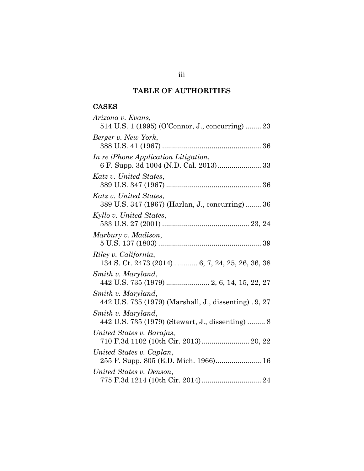## **TABLE OF AUTHORITIES**

## CASES

| Arizona v. Evans,                                                         |
|---------------------------------------------------------------------------|
| 514 U.S. 1 (1995) (O'Connor, J., concurring)  23                          |
| Berger v. New York,                                                       |
|                                                                           |
| In re iPhone Application Litigation,                                      |
|                                                                           |
| Katz v. United States,                                                    |
|                                                                           |
| Katz v. United States,<br>389 U.S. 347 (1967) (Harlan, J., concurring) 36 |
|                                                                           |
| Kyllo v. United States,                                                   |
| Marbury v. Madison,                                                       |
|                                                                           |
| Riley v. California,                                                      |
| 134 S. Ct. 2473 (2014)  6, 7, 24, 25, 26, 36, 38                          |
| Smith v. Maryland,                                                        |
| 442 U.S. 735 (1979)  2, 6, 14, 15, 22, 27                                 |
| Smith v. Maryland,                                                        |
| 442 U.S. 735 (1979) (Marshall, J., dissenting). 9, 27                     |
| Smith v. Maryland,                                                        |
| 442 U.S. 735 (1979) (Stewart, J., dissenting)  8                          |
| United States v. Barajas,                                                 |
| 710 F.3d 1102 (10th Cir. 2013)  20, 22                                    |
| United States v. Caplan,<br>255 F. Supp. 805 (E.D. Mich. 1966) 16         |
| United States v. Denson,                                                  |
|                                                                           |
|                                                                           |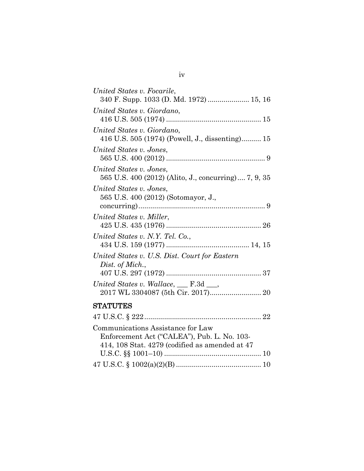| United States v. Focarile,                                                      |
|---------------------------------------------------------------------------------|
| 340 F. Supp. 1033 (D. Md. 1972)  15, 16                                         |
| United States v. Giordano,                                                      |
|                                                                                 |
| United States v. Giordano,                                                      |
| 416 U.S. 505 (1974) (Powell, J., dissenting) 15                                 |
| United States v. Jones,                                                         |
|                                                                                 |
| United States v. Jones,<br>565 U.S. 400 (2012) (Alito, J., concurring) 7, 9, 35 |
| United States v. Jones.                                                         |
| 565 U.S. 400 (2012) (Sotomayor, J.,                                             |
|                                                                                 |
| United States v. Miller,                                                        |
|                                                                                 |
| United States v. N.Y. Tel. Co.,                                                 |
|                                                                                 |
| United States v. U.S. Dist. Court for Eastern                                   |
| Dist. of Mich.,                                                                 |
|                                                                                 |
| United States v. Wallace, $\_\$ F.3d $\_\_$                                     |
|                                                                                 |
| <b>STATUTES</b>                                                                 |
| $47$ II S C & 999<br>99                                                         |

| Communications Assistance for Law              |
|------------------------------------------------|
| Enforcement Act ("CALEA"), Pub. L. No. 103-    |
| 414, 108 Stat. 4279 (codified as amended at 47 |
|                                                |
|                                                |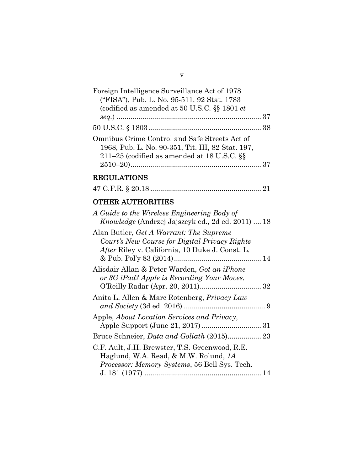| Foreign Intelligence Surveillance Act of 1978     |  |
|---------------------------------------------------|--|
| ("FISA"), Pub. L. No. 95-511, 92 Stat. 1783       |  |
| (codified as amended at 50 U.S.C. §§ 1801 et      |  |
|                                                   |  |
|                                                   |  |
| Omnibus Crime Control and Safe Streets Act of     |  |
| 1968, Pub. L. No. 90-351, Tit. III, 82 Stat. 197, |  |
| 211–25 (codified as amended at $18$ U.S.C. $\S$   |  |
|                                                   |  |

v

## REGULATIONS

|--|--|--|

## OTHER AUTHORITIES

| A Guide to the Wireless Engineering Body of       |    |
|---------------------------------------------------|----|
| Knowledge (Andrzej Jajszcyk ed., 2d ed. 2011)  18 |    |
| Alan Butler, Get A Warrant: The Supreme           |    |
| Court's New Course for Digital Privacy Rights     |    |
| After Riley v. California, 10 Duke J. Const. L.   |    |
|                                                   |    |
| Alisdair Allan & Peter Warden, Got an iPhone      |    |
| or 3G iPad? Apple is Recording Your Moves,        |    |
|                                                   |    |
| Anita L. Allen & Marc Rotenberg, Privacy Law      |    |
|                                                   |    |
| Apple, About Location Services and Privacy,       |    |
|                                                   |    |
|                                                   |    |
| C.F. Ault, J.H. Brewster, T.S. Greenwood, R.E.    |    |
| Haglund, W.A. Read, & M.W. Rolund, 1A             |    |
| Processor: Memory Systems, 56 Bell Sys. Tech.     |    |
|                                                   | 14 |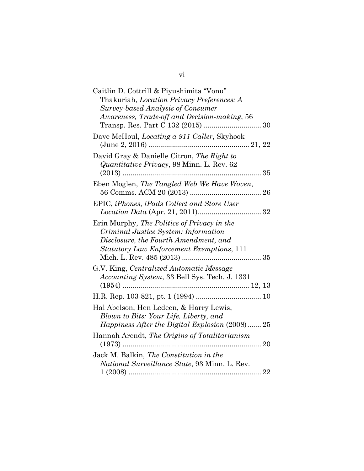| Caitlin D. Cottrill & Piyushimita "Vonu"<br>Thakuriah, Location Privacy Preferences: A                                                                                           |
|----------------------------------------------------------------------------------------------------------------------------------------------------------------------------------|
| <b>Survey-based Analysis of Consumer</b>                                                                                                                                         |
| Awareness, Trade-off and Decision-making, 56                                                                                                                                     |
| Dave McHoul, <i>Locating a 911 Caller</i> , Skyhook                                                                                                                              |
| David Gray & Danielle Citron, The Right to<br><i>Quantitative Privacy</i> , 98 Minn. L. Rev. 62                                                                                  |
| Eben Moglen, The Tangled Web We Have Woven,                                                                                                                                      |
| EPIC, iPhones, iPads Collect and Store User                                                                                                                                      |
| Erin Murphy, The Politics of Privacy in the<br>Criminal Justice System: Information<br>Disclosure, the Fourth Amendment, and<br><b>Statutory Law Enforcement Exemptions, 111</b> |
| G.V. King, Centralized Automatic Message<br>Accounting System, 33 Bell Sys. Tech. J. 1331                                                                                        |
|                                                                                                                                                                                  |
| Hal Abelson, Hen Ledeen, & Harry Lewis,<br>Blown to Bits: Your Life, Liberty, and<br>Happiness After the Digital Explosion (2008) 25                                             |
| Hannah Arendt, The Origins of Totalitarianism<br>$(1973)$                                                                                                                        |
| Jack M. Balkin, The Constitution in the<br>National Surveillance State, 93 Minn. L. Rev.                                                                                         |
|                                                                                                                                                                                  |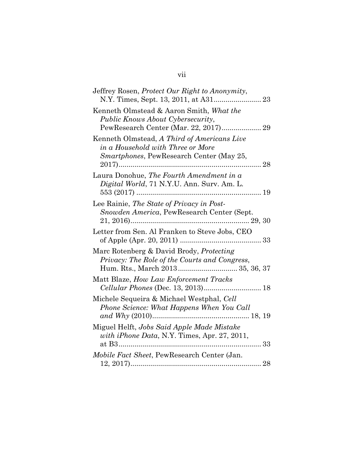| Jeffrey Rosen, Protect Our Right to Anonymity,                                                                                     |
|------------------------------------------------------------------------------------------------------------------------------------|
| Kenneth Olmstead & Aaron Smith, What the<br>Public Knows About Cybersecurity,<br>PewResearch Center (Mar. 22, 2017) 29             |
| Kenneth Olmstead, A Third of Americans Live<br>in a Household with Three or More<br>Smartphones, PewResearch Center (May 25,<br>28 |
| Laura Donohue, The Fourth Amendment in a<br>Digital World, 71 N.Y.U. Ann. Surv. Am. L.                                             |
| Lee Rainie, The State of Privacy in Post-<br>Snowden America, PewResearch Center (Sept.                                            |
| Letter from Sen. Al Franken to Steve Jobs, CEO                                                                                     |
| Marc Rotenberg & David Brody, Protecting<br>Privacy: The Role of the Courts and Congress,<br>Hum. Rts., March 2013 35, 36, 37      |
| Matt Blaze, How Law Enforcement Tracks<br>Cellular Phones (Dec. 13, 2013) 18                                                       |
| Michele Sequeira & Michael Westphal, Cell<br>Phone Science: What Happens When You Call                                             |
| Miguel Helft, Jobs Said Apple Made Mistake<br>with iPhone Data, N.Y. Times, Apr. 27, 2011,                                         |
| Mobile Fact Sheet, PewResearch Center (Jan.                                                                                        |

## vii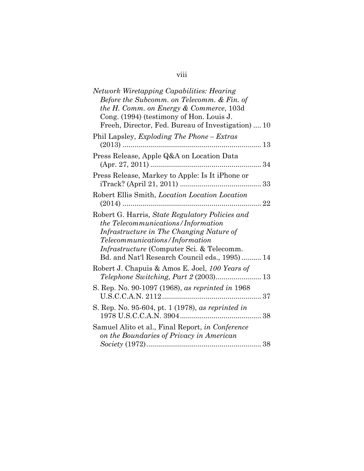|  | ł |  |
|--|---|--|
|  |   |  |
|  |   |  |

| Network Wiretapping Capabilities: Hearing<br>Before the Subcomm. on Telecomm. & Fin. of<br>the H. Comm. on Energy & Commerce, 103d<br>Cong. (1994) (testimony of Hon. Louis J.<br>Freeh, Director, Fed. Bureau of Investigation)  10                                     |  |
|--------------------------------------------------------------------------------------------------------------------------------------------------------------------------------------------------------------------------------------------------------------------------|--|
| Phil Lapsley, <i>Exploding The Phone – Extras</i><br>$(2013)$                                                                                                                                                                                                            |  |
| Press Release, Apple Q&A on Location Data                                                                                                                                                                                                                                |  |
| Press Release, Markey to Apple: Is It iPhone or                                                                                                                                                                                                                          |  |
| Robert Ellis Smith, <i>Location Location Location</i><br>. 22                                                                                                                                                                                                            |  |
| Robert G. Harris, State Regulatory Policies and<br>the Telecommunications/Information<br>Infrastructure in The Changing Nature of<br>Telecommunications/Information<br><i>Infrastructure</i> (Computer Sci. & Telecomm.<br>Bd. and Nat'l Research Council eds., 1995) 14 |  |
| Robert J. Chapuis & Amos E. Joel, 100 Years of<br>Telephone Switching, Part 2 (2003) 13                                                                                                                                                                                  |  |
| S. Rep. No. 90-1097 (1968), as reprinted in 1968                                                                                                                                                                                                                         |  |
| S. Rep. No. 95-604, pt. 1 (1978), as reprinted in                                                                                                                                                                                                                        |  |
| Samuel Alito et al., Final Report, in Conference<br>on the Boundaries of Privacy in American                                                                                                                                                                             |  |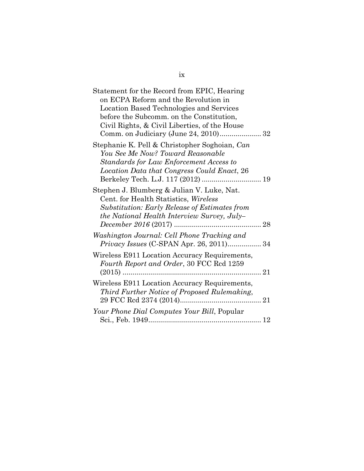| Statement for the Record from EPIC, Hearing                                        |
|------------------------------------------------------------------------------------|
| on ECPA Reform and the Revolution in                                               |
| Location Based Technologies and Services                                           |
| before the Subcomm. on the Constitution,                                           |
| Civil Rights, & Civil Liberties, of the House                                      |
|                                                                                    |
| Stephanie K. Pell & Christopher Soghoian, Can<br>You See Me Now? Toward Reasonable |
| Standards for Law Enforcement Access to                                            |
| Location Data that Congress Could Enact, 26                                        |
|                                                                                    |
| Stephen J. Blumberg & Julian V. Luke, Nat.                                         |
| Cent. for Health Statistics, Wireless                                              |
| <b>Substitution: Early Release of Estimates from</b>                               |
| the National Health Interview Survey, July-                                        |
|                                                                                    |
| Washington Journal: Cell Phone Tracking and                                        |
| <i>Privacy Issues</i> (C-SPAN Apr. 26, 2011) 34                                    |
| Wireless E911 Location Accuracy Requirements,                                      |
| Fourth Report and Order, 30 FCC Rcd 1259                                           |
|                                                                                    |
| Wireless E911 Location Accuracy Requirements,                                      |
| Third Further Notice of Proposed Rulemaking,                                       |
|                                                                                    |
| Your Phone Dial Computes Your Bill, Popular                                        |
|                                                                                    |
|                                                                                    |

ix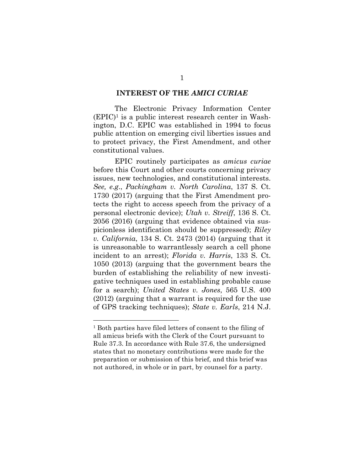#### **INTEREST OF THE** *AMICI CURIAE*

The Electronic Privacy Information Center  $(EPIC)<sup>1</sup>$  is a public interest research center in Washington, D.C. EPIC was established in 1994 to focus public attention on emerging civil liberties issues and to protect privacy, the First Amendment, and other constitutional values.

EPIC routinely participates as *amicus curiae* before this Court and other courts concerning privacy issues, new technologies, and constitutional interests. *See, e.g*., *Packingham v. North Carolina*, 137 S. Ct. 1730 (2017) (arguing that the First Amendment protects the right to access speech from the privacy of a personal electronic device); *Utah v. Streiff*, 136 S. Ct. 2056 (2016) (arguing that evidence obtained via suspicionless identification should be suppressed); *Riley v. California*, 134 S. Ct. 2473 (2014) (arguing that it is unreasonable to warrantlessly search a cell phone incident to an arrest); *Florida v. Harris*, 133 S. Ct. 1050 (2013) (arguing that the government bears the burden of establishing the reliability of new investigative techniques used in establishing probable cause for a search); *United States v. Jones*, 565 U.S. 400 (2012) (arguing that a warrant is required for the use of GPS tracking techniques); *State v. Earls*, 214 N.J.

<sup>1</sup> Both parties have filed letters of consent to the filing of all amicus briefs with the Clerk of the Court pursuant to Rule 37.3. In accordance with Rule 37.6, the undersigned states that no monetary contributions were made for the preparation or submission of this brief, and this brief was not authored, in whole or in part, by counsel for a party.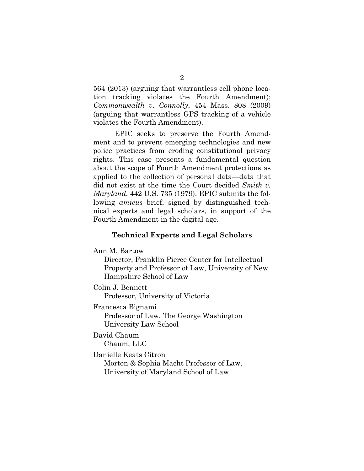564 (2013) (arguing that warrantless cell phone location tracking violates the Fourth Amendment); *Commonwealth v. Connolly*, 454 Mass. 808 (2009) (arguing that warrantless GPS tracking of a vehicle violates the Fourth Amendment).

EPIC seeks to preserve the Fourth Amendment and to prevent emerging technologies and new police practices from eroding constitutional privacy rights. This case presents a fundamental question about the scope of Fourth Amendment protections as applied to the collection of personal data—data that did not exist at the time the Court decided *Smith v. Maryland*, 442 U.S. 735 (1979). EPIC submits the following *amicus* brief, signed by distinguished technical experts and legal scholars, in support of the Fourth Amendment in the digital age.

#### **Technical Experts and Legal Scholars**

Ann M. Bartow

Director, Franklin Pierce Center for Intellectual Property and Professor of Law, University of New Hampshire School of Law

Colin J. Bennett

Professor, University of Victoria

Francesca Bignami

Professor of Law, The George Washington University Law School

David Chaum Chaum, LLC

Danielle Keats Citron

Morton & Sophia Macht Professor of Law, University of Maryland School of Law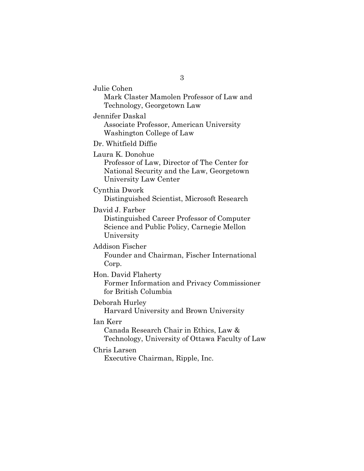Julie Cohen Mark Claster Mamolen Professor of Law and Technology, Georgetown Law

Jennifer Daskal Associate Professor, American University Washington College of Law

Dr. Whitfield Diffie

Laura K. Donohue

Professor of Law, Director of The Center for National Security and the Law, Georgetown University Law Center

Cynthia Dwork

Distinguished Scientist, Microsoft Research

David J. Farber

Distinguished Career Professor of Computer Science and Public Policy, Carnegie Mellon University

Addison Fischer

Founder and Chairman, Fischer International Corp.

Hon. David Flaherty

Former Information and Privacy Commissioner for British Columbia

Deborah Hurley

Harvard University and Brown University

Ian Kerr

Canada Research Chair in Ethics, Law & Technology, University of Ottawa Faculty of Law

Chris Larsen

Executive Chairman, Ripple, Inc.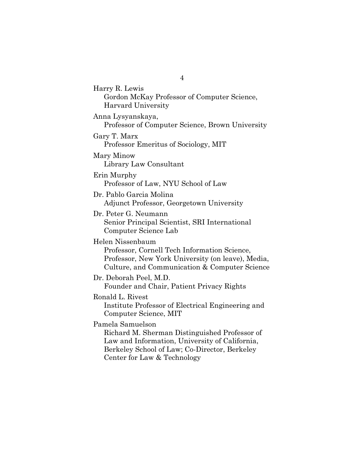Harry R. Lewis Gordon McKay Professor of Computer Science, Harvard University Anna Lysyanskaya, Professor of Computer Science, Brown University Gary T. Marx Professor Emeritus of Sociology, MIT Mary Minow Library Law Consultant Erin Murphy Professor of Law, NYU School of Law Dr. Pablo Garcia Molina Adjunct Professor, Georgetown University Dr. Peter G. Neumann Senior Principal Scientist, SRI International Computer Science Lab Helen Nissenbaum Professor, Cornell Tech Information Science, Professor, New York University (on leave), Media, Culture, and Communication & Computer Science Dr. Deborah Peel, M.D. Founder and Chair, Patient Privacy Rights Ronald L. Rivest Institute Professor of Electrical Engineering and Computer Science, MIT Pamela Samuelson Richard M. Sherman Distinguished Professor of Law and Information, University of California, Berkeley School of Law; Co-Director, Berkeley Center for Law & Technology

4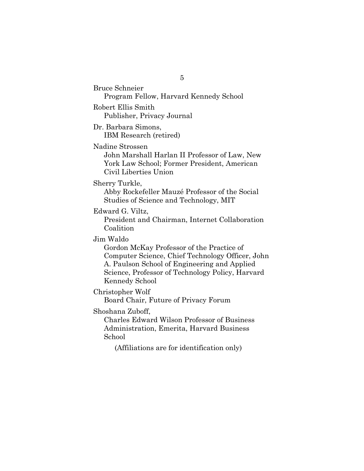Bruce Schneier Program Fellow, Harvard Kennedy School Robert Ellis Smith Publisher, Privacy Journal Dr. Barbara Simons, IBM Research (retired) Nadine Strossen John Marshall Harlan II Professor of Law, New York Law School; Former President, American Civil Liberties Union Sherry Turkle, Abby Rockefeller Mauzé Professor of the Social Studies of Science and Technology, MIT Edward G. Viltz, President and Chairman, Internet Collaboration Coalition Jim Waldo Gordon McKay Professor of the Practice of Computer Science, Chief Technology Officer, John A. Paulson School of Engineering and Applied Science, Professor of Technology Policy, Harvard Kennedy School Christopher Wolf Board Chair, Future of Privacy Forum Shoshana Zuboff, Charles Edward Wilson Professor of Business Administration, Emerita, Harvard Business School (Affiliations are for identification only)

5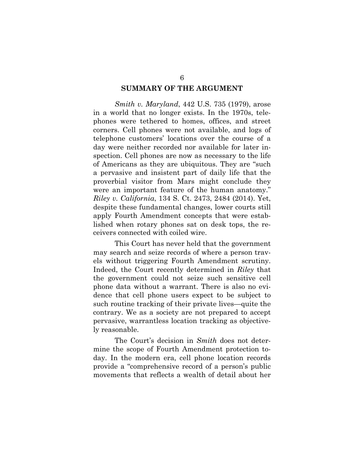#### **SUMMARY OF THE ARGUMENT**

*Smith v. Maryland*, 442 U.S. 735 (1979), arose in a world that no longer exists. In the 1970s, telephones were tethered to homes, offices, and street corners. Cell phones were not available, and logs of telephone customers' locations over the course of a day were neither recorded nor available for later inspection. Cell phones are now as necessary to the life of Americans as they are ubiquitous. They are "such a pervasive and insistent part of daily life that the proverbial visitor from Mars might conclude they were an important feature of the human anatomy." *Riley v. California*, 134 S. Ct. 2473, 2484 (2014). Yet, despite these fundamental changes, lower courts still apply Fourth Amendment concepts that were established when rotary phones sat on desk tops, the receivers connected with coiled wire.

This Court has never held that the government may search and seize records of where a person travels without triggering Fourth Amendment scrutiny. Indeed, the Court recently determined in *Riley* that the government could not seize such sensitive cell phone data without a warrant. There is also no evidence that cell phone users expect to be subject to such routine tracking of their private lives—quite the contrary. We as a society are not prepared to accept pervasive, warrantless location tracking as objectively reasonable.

The Court's decision in *Smith* does not determine the scope of Fourth Amendment protection today. In the modern era, cell phone location records provide a "comprehensive record of a person's public movements that reflects a wealth of detail about her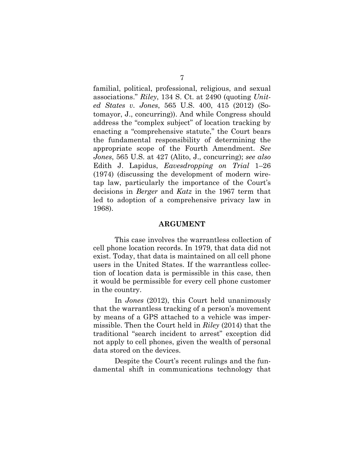familial, political, professional, religious, and sexual associations." *Riley*, 134 S. Ct. at 2490 (quoting *United States v. Jones*, 565 U.S. 400, 415 (2012) (Sotomayor, J., concurring)). And while Congress should address the "complex subject" of location tracking by enacting a "comprehensive statute," the Court bears the fundamental responsibility of determining the appropriate scope of the Fourth Amendment. *See Jones*, 565 U.S. at 427 (Alito, J., concurring); *see also*  Edith J. Lapidus, *Eavesdropping on Trial* 1–26 (1974) (discussing the development of modern wiretap law, particularly the importance of the Court's decisions in *Berger* and *Katz* in the 1967 term that led to adoption of a comprehensive privacy law in 1968).

#### **ARGUMENT**

This case involves the warrantless collection of cell phone location records. In 1979, that data did not exist. Today, that data is maintained on all cell phone users in the United States. If the warrantless collection of location data is permissible in this case, then it would be permissible for every cell phone customer in the country.

In *Jones* (2012), this Court held unanimously that the warrantless tracking of a person's movement by means of a GPS attached to a vehicle was impermissible. Then the Court held in *Riley* (2014) that the traditional "search incident to arrest" exception did not apply to cell phones, given the wealth of personal data stored on the devices.

Despite the Court's recent rulings and the fundamental shift in communications technology that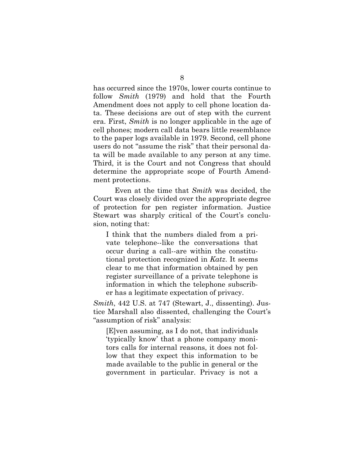has occurred since the 1970s, lower courts continue to follow *Smith* (1979) and hold that the Fourth Amendment does not apply to cell phone location data. These decisions are out of step with the current era. First, *Smith* is no longer applicable in the age of cell phones; modern call data bears little resemblance to the paper logs available in 1979. Second, cell phone users do not "assume the risk" that their personal data will be made available to any person at any time. Third, it is the Court and not Congress that should determine the appropriate scope of Fourth Amendment protections.

Even at the time that *Smith* was decided, the Court was closely divided over the appropriate degree of protection for pen register information. Justice Stewart was sharply critical of the Court's conclusion, noting that:

I think that the numbers dialed from a private telephone--like the conversations that occur during a call--are within the constitutional protection recognized in *Katz*. It seems clear to me that information obtained by pen register surveillance of a private telephone is information in which the telephone subscriber has a legitimate expectation of privacy.

*Smith*, 442 U.S. at 747 (Stewart, J., dissenting). Justice Marshall also dissented, challenging the Court's "assumption of risk" analysis:

[E]ven assuming, as I do not, that individuals 'typically know' that a phone company monitors calls for internal reasons, it does not follow that they expect this information to be made available to the public in general or the government in particular. Privacy is not a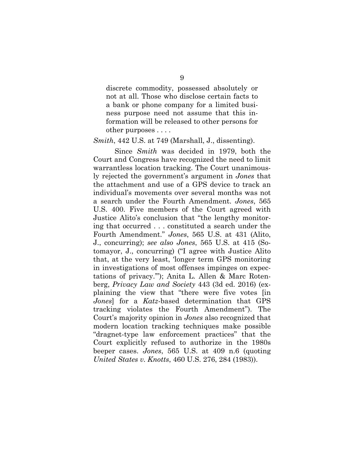discrete commodity, possessed absolutely or not at all. Those who disclose certain facts to a bank or phone company for a limited business purpose need not assume that this information will be released to other persons for other purposes . . . .

#### *Smith*, 442 U.S. at 749 (Marshall, J., dissenting).

Since *Smith* was decided in 1979, both the Court and Congress have recognized the need to limit warrantless location tracking. The Court unanimously rejected the government's argument in *Jones* that the attachment and use of a GPS device to track an individual's movements over several months was not a search under the Fourth Amendment. *Jones*, 565 U.S. 400. Five members of the Court agreed with Justice Alito's conclusion that "the lengthy monitoring that occurred . . . constituted a search under the Fourth Amendment." *Jones*, 565 U.S. at 431 (Alito, J., concurring); *see also Jones*, 565 U.S. at 415 (Sotomayor, J., concurring) ("I agree with Justice Alito that, at the very least, 'longer term GPS monitoring in investigations of most offenses impinges on expectations of privacy.'"); Anita L. Allen & Marc Rotenberg, *Privacy Law and Society* 443 (3d ed. 2016) (explaining the view that "there were five votes [in *Jones*] for a *Katz*-based determination that GPS tracking violates the Fourth Amendment"). The Court's majority opinion in *Jones* also recognized that modern location tracking techniques make possible "dragnet-type law enforcement practices" that the Court explicitly refused to authorize in the 1980s beeper cases. *Jones*, 565 U.S. at 409 n.6 (quoting *United States v. Knotts*, 460 U.S. 276, 284 (1983)).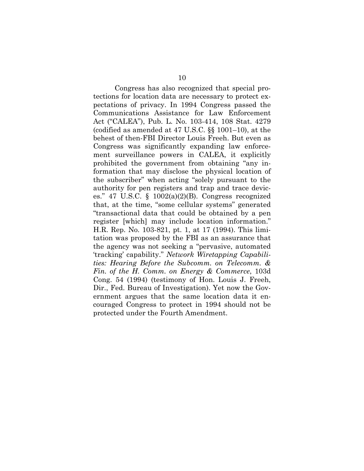Congress has also recognized that special protections for location data are necessary to protect expectations of privacy. In 1994 Congress passed the Communications Assistance for Law Enforcement Act ("CALEA"), Pub. L. No. 103-414, 108 Stat. 4279 (codified as amended at 47 U.S.C. §§ 1001–10), at the behest of then-FBI Director Louis Freeh. But even as Congress was significantly expanding law enforcement surveillance powers in CALEA, it explicitly prohibited the government from obtaining "any information that may disclose the physical location of the subscriber" when acting "solely pursuant to the authority for pen registers and trap and trace devices." 47 U.S.C.  $\S$  1002(a)(2)(B). Congress recognized that, at the time, "some cellular systems" generated "transactional data that could be obtained by a pen register [which] may include location information." H.R. Rep. No. 103-821, pt. 1, at 17 (1994). This limitation was proposed by the FBI as an assurance that the agency was not seeking a "pervasive, automated 'tracking' capability." *Network Wiretapping Capabilities: Hearing Before the Subcomm. on Telecomm. & Fin. of the H. Comm. on Energy & Commerce*, 103d Cong. 54 (1994) (testimony of Hon. Louis J. Freeh, Dir., Fed. Bureau of Investigation). Yet now the Government argues that the same location data it encouraged Congress to protect in 1994 should not be protected under the Fourth Amendment.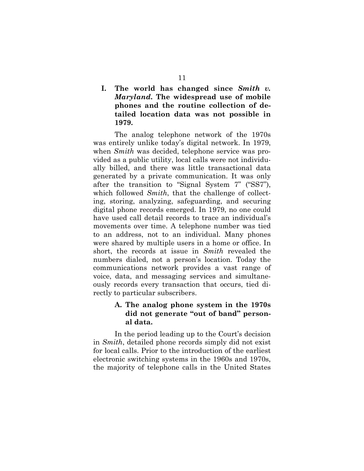**I. The world has changed since** *Smith v. Maryland***. The widespread use of mobile phones and the routine collection of detailed location data was not possible in 1979.**

The analog telephone network of the 1970s was entirely unlike today's digital network. In 1979, when *Smith* was decided, telephone service was provided as a public utility, local calls were not individually billed, and there was little transactional data generated by a private communication. It was only after the transition to "Signal System 7" ("SS7"), which followed *Smith*, that the challenge of collecting, storing, analyzing, safeguarding, and securing digital phone records emerged. In 1979, no one could have used call detail records to trace an individual's movements over time. A telephone number was tied to an address, not to an individual. Many phones were shared by multiple users in a home or office. In short, the records at issue in *Smith* revealed the numbers dialed, not a person's location. Today the communications network provides a vast range of voice, data, and messaging services and simultaneously records every transaction that occurs, tied directly to particular subscribers.

## **A. The analog phone system in the 1970s did not generate "out of band" personal data.**

In the period leading up to the Court's decision in *Smith*, detailed phone records simply did not exist for local calls. Prior to the introduction of the earliest electronic switching systems in the 1960s and 1970s, the majority of telephone calls in the United States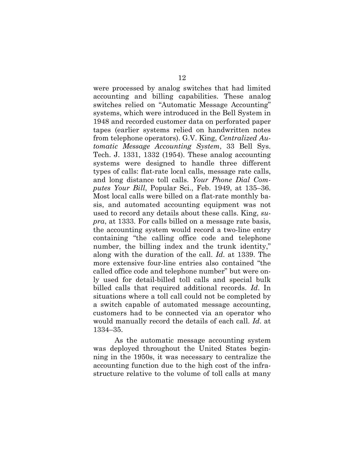were processed by analog switches that had limited accounting and billing capabilities. These analog switches relied on "Automatic Message Accounting" systems, which were introduced in the Bell System in 1948 and recorded customer data on perforated paper tapes (earlier systems relied on handwritten notes from telephone operators). G.V. King, *Centralized Automatic Message Accounting System*, 33 Bell Sys. Tech. J. 1331, 1332 (1954). These analog accounting systems were designed to handle three different types of calls: flat-rate local calls, message rate calls, and long distance toll calls. *Your Phone Dial Computes Your Bill*, Popular Sci., Feb. 1949, at 135–36. Most local calls were billed on a flat-rate monthly basis, and automated accounting equipment was not used to record any details about these calls. King, *supra*, at 1333. For calls billed on a message rate basis, the accounting system would record a two-line entry containing "the calling office code and telephone number, the billing index and the trunk identity," along with the duration of the call. *Id*. at 1339. The more extensive four-line entries also contained "the called office code and telephone number" but were only used for detail-billed toll calls and special bulk billed calls that required additional records. *Id*. In situations where a toll call could not be completed by a switch capable of automated message accounting, customers had to be connected via an operator who would manually record the details of each call. *Id*. at 1334–35.

As the automatic message accounting system was deployed throughout the United States beginning in the 1950s, it was necessary to centralize the accounting function due to the high cost of the infrastructure relative to the volume of toll calls at many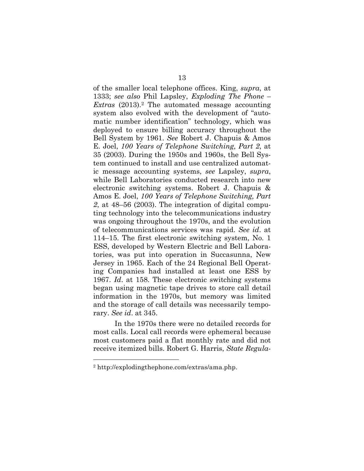of the smaller local telephone offices. King, *supra*, at 1333; *see also* Phil Lapsley, *Exploding The Phone – Extras* (2013).2 The automated message accounting system also evolved with the development of "automatic number identification" technology, which was deployed to ensure billing accuracy throughout the Bell System by 1961. *See* Robert J. Chapuis & Amos E. Joel, *100 Years of Telephone Switching, Part 2*, at 35 (2003). During the 1950s and 1960s, the Bell System continued to install and use centralized automatic message accounting systems, *see* Lapsley, *supra*, while Bell Laboratories conducted research into new electronic switching systems. Robert J. Chapuis & Amos E. Joel, *100 Years of Telephone Switching, Part 2*, at 48–56 (2003). The integration of digital computing technology into the telecommunications industry was ongoing throughout the 1970s, and the evolution of telecommunications services was rapid. *See id*. at 114–15. The first electronic switching system, No. 1 ESS, developed by Western Electric and Bell Laboratories, was put into operation in Succasunna, New Jersey in 1965. Each of the 24 Regional Bell Operating Companies had installed at least one ESS by 1967. *Id*. at 158. These electronic switching systems began using magnetic tape drives to store call detail information in the 1970s, but memory was limited and the storage of call details was necessarily temporary. *See id*. at 345.

In the 1970s there were no detailed records for most calls. Local call records were ephemeral because most customers paid a flat monthly rate and did not receive itemized bills. Robert G. Harris, *State Regula-*

<sup>2</sup> http://explodingthephone.com/extras/ama.php.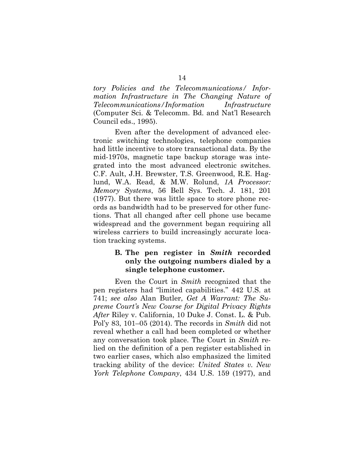*tory Policies and the Telecommunications/ Information Infrastructure in The Changing Nature of Telecommunications/Information Infrastructure* (Computer Sci. & Telecomm. Bd. and Nat'l Research Council eds., 1995).

Even after the development of advanced electronic switching technologies, telephone companies had little incentive to store transactional data. By the mid-1970s, magnetic tape backup storage was integrated into the most advanced electronic switches. C.F. Ault, J.H. Brewster, T.S. Greenwood, R.E. Haglund, W.A. Read, & M.W. Rolund, *1A Processor: Memory Systems*, 56 Bell Sys. Tech. J. 181, 201 (1977). But there was little space to store phone records as bandwidth had to be preserved for other functions. That all changed after cell phone use became widespread and the government began requiring all wireless carriers to build increasingly accurate location tracking systems.

### **B. The pen register in** *Smith* **recorded only the outgoing numbers dialed by a single telephone customer.**

Even the Court in *Smith* recognized that the pen registers had "limited capabilities." 442 U.S. at 741; *see also* Alan Butler, *Get A Warrant: The Supreme Court's New Course for Digital Privacy Rights After* Riley v. California, 10 Duke J. Const. L. & Pub. Pol'y 83, 101–05 (2014). The records in *Smith* did not reveal whether a call had been completed or whether any conversation took place. The Court in *Smith* relied on the definition of a pen register established in two earlier cases, which also emphasized the limited tracking ability of the device: *United States v. New York Telephone Company*, 434 U.S. 159 (1977), and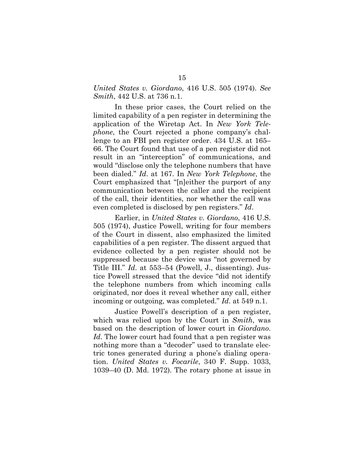#### *United States v. Giordano*, 416 U.S. 505 (1974). *See Smith*, 442 U.S. at 736 n.1.

In these prior cases, the Court relied on the limited capability of a pen register in determining the application of the Wiretap Act. In *New York Telephone*, the Court rejected a phone company's challenge to an FBI pen register order. 434 U.S. at 165– 66. The Court found that use of a pen register did not result in an "interception" of communications, and would "disclose only the telephone numbers that have been dialed." *Id*. at 167. In *New York Telephone*, the Court emphasized that "[n]either the purport of any communication between the caller and the recipient of the call, their identities, nor whether the call was even completed is disclosed by pen registers." *Id*.

Earlier, in *United States v. Giordano*, 416 U.S. 505 (1974), Justice Powell, writing for four members of the Court in dissent, also emphasized the limited capabilities of a pen register. The dissent argued that evidence collected by a pen register should not be suppressed because the device was "not governed by Title III." *Id*. at 553–54 (Powell, J., dissenting). Justice Powell stressed that the device "did not identify the telephone numbers from which incoming calls originated, nor does it reveal whether any call, either incoming or outgoing, was completed." *Id*. at 549 n.1.

Justice Powell's description of a pen register, which was relied upon by the Court in *Smith*, was based on the description of lower court in *Giordano*. *Id*. The lower court had found that a pen register was nothing more than a "decoder" used to translate electric tones generated during a phone's dialing operation. *United States v. Focarile*, 340 F. Supp. 1033, 1039–40 (D. Md. 1972). The rotary phone at issue in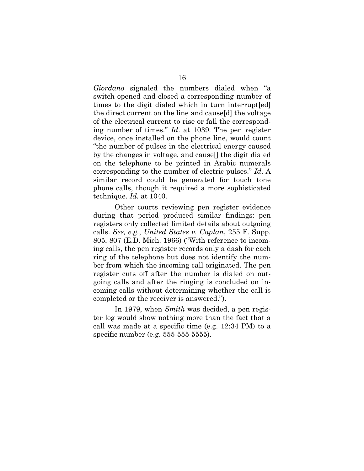*Giordano* signaled the numbers dialed when "a switch opened and closed a corresponding number of times to the digit dialed which in turn interrupt[ed] the direct current on the line and cause[d] the voltage of the electrical current to rise or fall the corresponding number of times." *Id*. at 1039. The pen register device, once installed on the phone line, would count "the number of pulses in the electrical energy caused by the changes in voltage, and cause[] the digit dialed on the telephone to be printed in Arabic numerals corresponding to the number of electric pulses." *Id*. A similar record could be generated for touch tone phone calls, though it required a more sophisticated technique. *Id.* at 1040.

Other courts reviewing pen register evidence during that period produced similar findings: pen registers only collected limited details about outgoing calls. *See, e.g.*, *United States v. Caplan*, 255 F. Supp. 805, 807 (E.D. Mich. 1966) ("With reference to incoming calls, the pen register records only a dash for each ring of the telephone but does not identify the number from which the incoming call originated. The pen register cuts off after the number is dialed on outgoing calls and after the ringing is concluded on incoming calls without determining whether the call is completed or the receiver is answered.").

In 1979, when *Smith* was decided, a pen register log would show nothing more than the fact that a call was made at a specific time (e.g. 12:34 PM) to a specific number (e.g. 555-555-5555).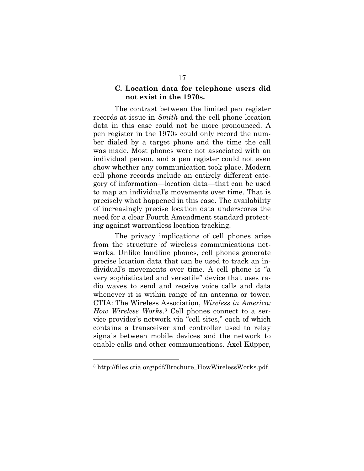#### **C. Location data for telephone users did not exist in the 1970s.**

The contrast between the limited pen register records at issue in *Smith* and the cell phone location data in this case could not be more pronounced. A pen register in the 1970s could only record the number dialed by a target phone and the time the call was made. Most phones were not associated with an individual person, and a pen register could not even show whether any communication took place. Modern cell phone records include an entirely different category of information—location data—that can be used to map an individual's movements over time. That is precisely what happened in this case. The availability of increasingly precise location data underscores the need for a clear Fourth Amendment standard protecting against warrantless location tracking.

The privacy implications of cell phones arise from the structure of wireless communications networks. Unlike landline phones, cell phones generate precise location data that can be used to track an individual's movements over time. A cell phone is "a very sophisticated and versatile" device that uses radio waves to send and receive voice calls and data whenever it is within range of an antenna or tower. CTIA: The Wireless Association, *Wireless in America: How Wireless Works*.3 Cell phones connect to a service provider's network via "cell sites," each of which contains a transceiver and controller used to relay signals between mobile devices and the network to enable calls and other communications. Axel Küpper,

<sup>&</sup>lt;sup>3</sup> http://files.ctia.org/pdf/Brochure\_HowWirelessWorks.pdf.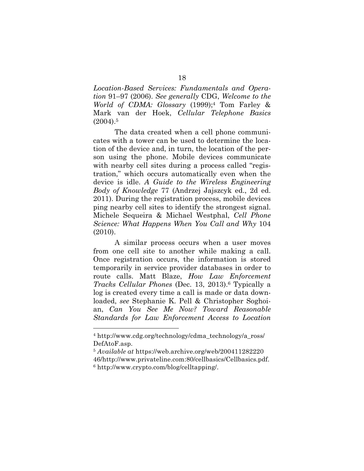*Location-Based Services: Fundamentals and Operation* 91–97 (2006). *See generally* CDG, *Welcome to the World of CDMA: Glossary* (1999);4 Tom Farley & Mark van der Hoek, *Cellular Telephone Basics*  $(2004).5$ 

The data created when a cell phone communicates with a tower can be used to determine the location of the device and, in turn, the location of the person using the phone. Mobile devices communicate with nearby cell sites during a process called "registration," which occurs automatically even when the device is idle. *A Guide to the Wireless Engineering Body of Knowledge* 77 (Andrzej Jajszcyk ed., 2d ed. 2011). During the registration process, mobile devices ping nearby cell sites to identify the strongest signal. Michele Sequeira & Michael Westphal, *Cell Phone Science: What Happens When You Call and Why* 104 (2010).

A similar process occurs when a user moves from one cell site to another while making a call. Once registration occurs, the information is stored temporarily in service provider databases in order to route calls. Matt Blaze, *How Law Enforcement Tracks Cellular Phones* (Dec. 13, 2013).6 Typically a log is created every time a call is made or data downloaded, *see* Stephanie K. Pell & Christopher Soghoian, *Can You See Me Now? Toward Reasonable Standards for Law Enforcement Access to Location* 

<sup>4</sup> http://www.cdg.org/technology/cdma\_technology/a\_ross/ DefAtoF.asp.

<sup>5</sup> *Available at* https://web.archive.org/web/200411282220 46/http://www.privateline.com:80/cellbasics/Cellbasics.pdf. <sup>6</sup> http://www.crypto.com/blog/celltapping/.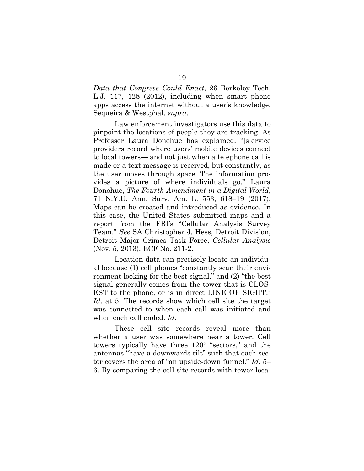*Data that Congress Could Enact*, 26 Berkeley Tech. L.J. 117, 128 (2012), including when smart phone apps access the internet without a user's knowledge. Sequeira & Westphal, *supra*.

Law enforcement investigators use this data to pinpoint the locations of people they are tracking. As Professor Laura Donohue has explained, "[s]ervice providers record where users' mobile devices connect to local towers— and not just when a telephone call is made or a text message is received, but constantly, as the user moves through space. The information provides a picture of where individuals go." Laura Donohue, *The Fourth Amendment in a Digital World*, 71 N.Y.U. Ann. Surv. Am. L. 553, 618–19 (2017). Maps can be created and introduced as evidence. In this case, the United States submitted maps and a report from the FBI's "Cellular Analysis Survey Team." *See* SA Christopher J. Hess, Detroit Division, Detroit Major Crimes Task Force, *Cellular Analysis*  (Nov. 5, 2013), ECF No. 211-2.

Location data can precisely locate an individual because (1) cell phones "constantly scan their environment looking for the best signal," and (2) "the best signal generally comes from the tower that is CLOS-EST to the phone, or is in direct LINE OF SIGHT." *Id*. at 5. The records show which cell site the target was connected to when each call was initiated and when each call ended. *Id*.

These cell site records reveal more than whether a user was somewhere near a tower. Cell towers typically have three 120° "sectors," and the antennas "have a downwards tilt" such that each sector covers the area of "an upside-down funnel." *Id*. 5– 6. By comparing the cell site records with tower loca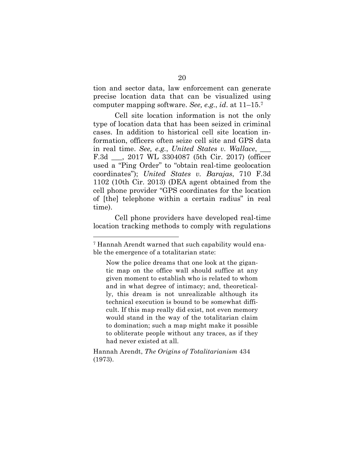tion and sector data, law enforcement can generate precise location data that can be visualized using computer mapping software. *See, e.g.*, *id*. at 11–15.7

Cell site location information is not the only type of location data that has been seized in criminal cases. In addition to historical cell site location information, officers often seize cell site and GPS data in real time. *See, e.g.*, *United States v. Wallace*, \_\_\_ F.3d \_\_\_, 2017 WL 3304087 (5th Cir. 2017) (officer used a "Ping Order" to "obtain real-time geolocation coordinates"); *United States v. Barajas*, 710 F.3d 1102 (10th Cir. 2013) (DEA agent obtained from the cell phone provider "GPS coordinates for the location of [the] telephone within a certain radius" in real time).

Cell phone providers have developed real-time location tracking methods to comply with regulations

<sup>7</sup> Hannah Arendt warned that such capability would enable the emergence of a totalitarian state:

Now the police dreams that one look at the gigantic map on the office wall should suffice at any given moment to establish who is related to whom and in what degree of intimacy; and, theoretically, this dream is not unrealizable although its technical execution is bound to be somewhat difficult. If this map really did exist, not even memory would stand in the way of the totalitarian claim to domination; such a map might make it possible to obliterate people without any traces, as if they had never existed at all.

Hannah Arendt, *The Origins of Totalitarianism* 434 (1973).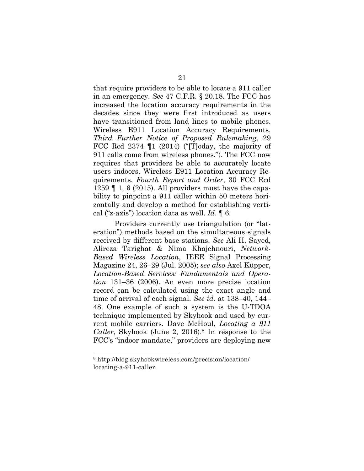that require providers to be able to locate a 911 caller in an emergency. *See* 47 C.F.R. § 20.18. The FCC has increased the location accuracy requirements in the decades since they were first introduced as users have transitioned from land lines to mobile phones. Wireless E911 Location Accuracy Requirements, *Third Further Notice of Proposed Rulemaking*, 29 FCC Rcd 2374 ¶1 (2014) ("[T]oday, the majority of 911 calls come from wireless phones."). The FCC now requires that providers be able to accurately locate users indoors. Wireless E911 Location Accuracy Requirements, *Fourth Report and Order*, 30 FCC Rcd 1259 ¶ 1, 6 (2015). All providers must have the capability to pinpoint a 911 caller within 50 meters horizontally and develop a method for establishing vertical ("z-axis") location data as well. *Id*. ¶ 6.

Providers currently use triangulation (or "lateration") methods based on the simultaneous signals received by different base stations. *See* Ali H. Sayed, Alireza Tarighat & Nima Khajehnouri, *Network-Based Wireless Location*, IEEE Signal Processing Magazine 24, 26–29 (Jul. 2005); *see also* Axel Küpper, *Location-Based Services: Fundamentals and Operation* 131–36 (2006). An even more precise location record can be calculated using the exact angle and time of arrival of each signal. *See id.* at 138–40, 144– 48. One example of such a system is the U-TDOA technique implemented by Skyhook and used by current mobile carriers. Dave McHoul, *Locating a 911 Caller*, Skyhook (June 2, 2016).8 In response to the FCC's "indoor mandate," providers are deploying new

<sup>8</sup> http://blog.skyhookwireless.com/precision/location/ locating-a-911-caller.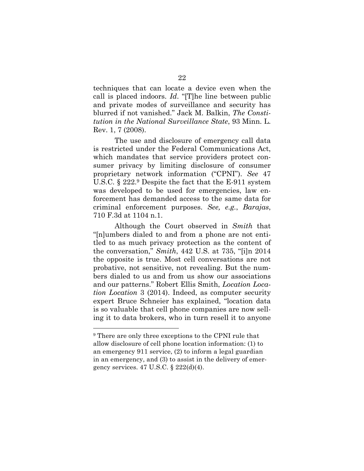techniques that can locate a device even when the call is placed indoors. *Id*. "[T]he line between public and private modes of surveillance and security has blurred if not vanished." Jack M. Balkin, *The Constitution in the National Surveillance State*, 93 Minn. L. Rev. 1, 7 (2008).

The use and disclosure of emergency call data is restricted under the Federal Communications Act, which mandates that service providers protect consumer privacy by limiting disclosure of consumer proprietary network information ("CPNI"). *See* 47 U.S.C. § 222.9 Despite the fact that the E-911 system was developed to be used for emergencies, law enforcement has demanded access to the same data for criminal enforcement purposes. *See, e.g.*, *Barajas*, 710 F.3d at 1104 n.1.

Although the Court observed in *Smith* that "[n]umbers dialed to and from a phone are not entitled to as much privacy protection as the content of the conversation," *Smith*, 442 U.S. at 735, "[i]n 2014 the opposite is true. Most cell conversations are not probative, not sensitive, not revealing. But the numbers dialed to us and from us show our associations and our patterns." Robert Ellis Smith, *Location Location Location* 3 (2014). Indeed, as computer security expert Bruce Schneier has explained, "location data is so valuable that cell phone companies are now selling it to data brokers, who in turn resell it to anyone

<sup>9</sup> There are only three exceptions to the CPNI rule that allow disclosure of cell phone location information: (1) to an emergency 911 service, (2) to inform a legal guardian in an emergency, and (3) to assist in the delivery of emergency services. 47 U.S.C. § 222(d)(4).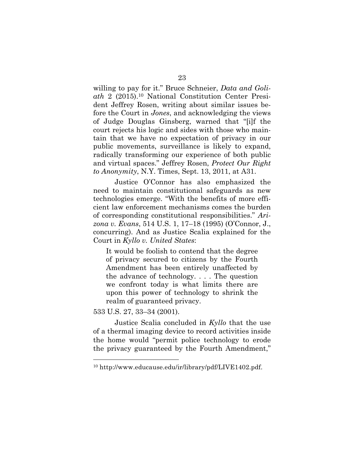willing to pay for it." Bruce Schneier, *Data and Goliath* 2 (2015).10 National Constitution Center President Jeffrey Rosen, writing about similar issues before the Court in *Jones*, and acknowledging the views of Judge Douglas Ginsberg, warned that "[i]f the court rejects his logic and sides with those who maintain that we have no expectation of privacy in our public movements, surveillance is likely to expand, radically transforming our experience of both public and virtual spaces." Jeffrey Rosen, *Protect Our Right to Anonymity*, N.Y. Times, Sept. 13, 2011, at A31.

Justice O'Connor has also emphasized the need to maintain constitutional safeguards as new technologies emerge. "With the benefits of more efficient law enforcement mechanisms comes the burden of corresponding constitutional responsibilities." *Arizona v. Evans*, 514 U.S. 1, 17–18 (1995) (O'Connor, J., concurring). And as Justice Scalia explained for the Court in *Kyllo v. United States*:

It would be foolish to contend that the degree of privacy secured to citizens by the Fourth Amendment has been entirely unaffected by the advance of technology. . . . The question we confront today is what limits there are upon this power of technology to shrink the realm of guaranteed privacy.

#### 533 U.S. 27, 33–34 (2001).

 $\overline{a}$ 

Justice Scalia concluded in *Kyllo* that the use of a thermal imaging device to record activities inside the home would "permit police technology to erode the privacy guaranteed by the Fourth Amendment,"

<sup>10</sup> http://www.educause.edu/ir/library/pdf/LIVE1402.pdf.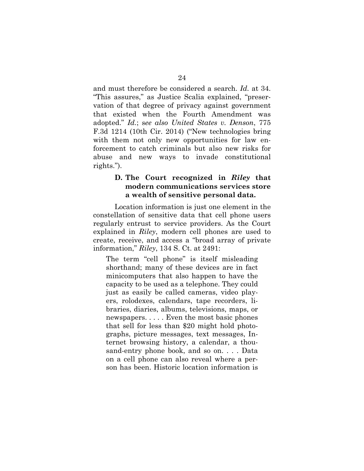and must therefore be considered a search. *Id.* at 34. "This assures," as Justice Scalia explained, "preservation of that degree of privacy against government that existed when the Fourth Amendment was adopted." *Id.*; s*ee also United States v. Denson*, 775 F.3d 1214 (10th Cir. 2014) ("New technologies bring with them not only new opportunities for law enforcement to catch criminals but also new risks for abuse and new ways to invade constitutional rights.").

### **D. The Court recognized in** *Riley* **that modern communications services store a wealth of sensitive personal data.**

Location information is just one element in the constellation of sensitive data that cell phone users regularly entrust to service providers. As the Court explained in *Riley*, modern cell phones are used to create, receive, and access a "broad array of private information," *Riley*, 134 S. Ct. at 2491:

The term "cell phone" is itself misleading shorthand; many of these devices are in fact minicomputers that also happen to have the capacity to be used as a telephone. They could just as easily be called cameras, video players, rolodexes, calendars, tape recorders, libraries, diaries, albums, televisions, maps, or newspapers. . . . . Even the most basic phones that sell for less than \$20 might hold photographs, picture messages, text messages, Internet browsing history, a calendar, a thousand-entry phone book, and so on. . . . Data on a cell phone can also reveal where a person has been. Historic location information is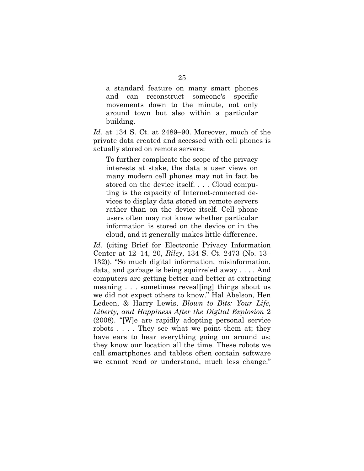a standard feature on many smart phones and can reconstruct someone's specific movements down to the minute, not only around town but also within a particular building.

*Id.* at 134 S. Ct. at 2489–90. Moreover, much of the private data created and accessed with cell phones is actually stored on remote servers:

To further complicate the scope of the privacy interests at stake, the data a user views on many modern cell phones may not in fact be stored on the device itself. . . . Cloud computing is the capacity of Internet-connected devices to display data stored on remote servers rather than on the device itself. Cell phone users often may not know whether particular information is stored on the device or in the cloud, and it generally makes little difference.

*Id.* (citing Brief for Electronic Privacy Information Center at 12–14, 20, *Riley*, 134 S. Ct. 2473 (No. 13– 132)). "So much digital information, misinformation, data, and garbage is being squirreled away . . . . And computers are getting better and better at extracting meaning . . . sometimes reveal[ing] things about us we did not expect others to know." Hal Abelson, Hen Ledeen, & Harry Lewis, *Blown to Bits: Your Life, Liberty, and Happiness After the Digital Explosion* 2 (2008). "[W]e are rapidly adopting personal service robots . . . . They see what we point them at; they have ears to hear everything going on around us; they know our location all the time. These robots we call smartphones and tablets often contain software we cannot read or understand, much less change."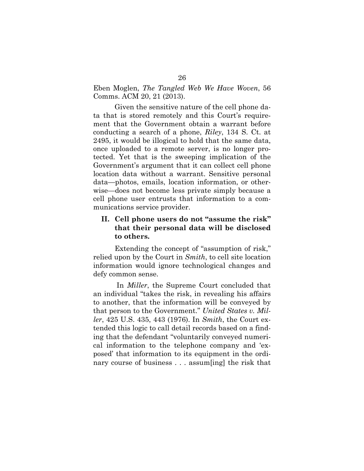Eben Moglen, *The Tangled Web We Have Woven*, 56 Comms. ACM 20, 21 (2013).

Given the sensitive nature of the cell phone data that is stored remotely and this Court's requirement that the Government obtain a warrant before conducting a search of a phone, *Riley*, 134 S. Ct. at 2495, it would be illogical to hold that the same data, once uploaded to a remote server, is no longer protected. Yet that is the sweeping implication of the Government's argument that it can collect cell phone location data without a warrant. Sensitive personal data—photos, emails, location information, or otherwise—does not become less private simply because a cell phone user entrusts that information to a communications service provider.

### **II. Cell phone users do not "assume the risk" that their personal data will be disclosed to others.**

Extending the concept of "assumption of risk," relied upon by the Court in *Smith*, to cell site location information would ignore technological changes and defy common sense.

In *Miller*, the Supreme Court concluded that an individual "takes the risk, in revealing his affairs to another, that the information will be conveyed by that person to the Government." *United States v. Miller*, 425 U.S. 435, 443 (1976). In *Smith*, the Court extended this logic to call detail records based on a finding that the defendant "voluntarily conveyed numerical information to the telephone company and 'exposed' that information to its equipment in the ordinary course of business . . . assum[ing] the risk that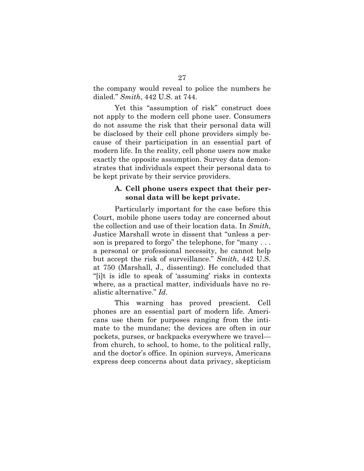the company would reveal to police the numbers he dialed." *Smith*, 442 U.S. at 744.

Yet this "assumption of risk" construct does not apply to the modern cell phone user. Consumers do not assume the risk that their personal data will be disclosed by their cell phone providers simply because of their participation in an essential part of modern life. In the reality, cell phone users now make exactly the opposite assumption. Survey data demonstrates that individuals expect their personal data to be kept private by their service providers.

#### **A. Cell phone users expect that their personal data will be kept private.**

Particularly important for the case before this Court, mobile phone users today are concerned about the collection and use of their location data. In *Smith*, Justice Marshall wrote in dissent that "unless a person is prepared to forgo" the telephone, for "many . . . a personal or professional necessity, he cannot help but accept the risk of surveillance." *Smith*, 442 U.S. at 750 (Marshall, J., dissenting). He concluded that "[i]t is idle to speak of 'assuming' risks in contexts where, as a practical matter, individuals have no realistic alternative." *Id.*

This warning has proved prescient. Cell phones are an essential part of modern life. Americans use them for purposes ranging from the intimate to the mundane; the devices are often in our pockets, purses, or backpacks everywhere we travel from church, to school, to home, to the political rally, and the doctor's office. In opinion surveys, Americans express deep concerns about data privacy, skepticism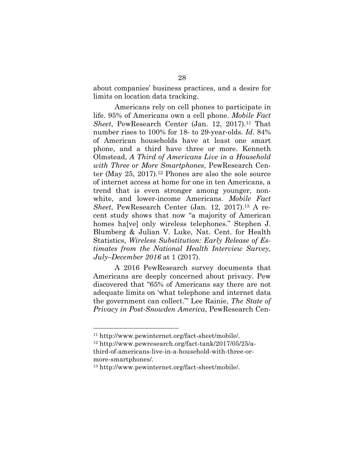about companies' business practices, and a desire for limits on location data tracking.

Americans rely on cell phones to participate in life. 95% of Americans own a cell phone. *Mobile Fact Sheet*, PewResearch Center (Jan. 12, 2017).11 That number rises to 100% for 18- to 29-year-olds. *Id*. 84% of American households have at least one smart phone, and a third have three or more. Kenneth Olmstead, *A Third of Americans Live in a Household with Three or More Smartphones*, PewResearch Center (May  $25$ ,  $2017$ ).<sup>12</sup> Phones are also the sole source of internet access at home for one in ten Americans, a trend that is even stronger among younger, nonwhite, and lower-income Americans. *Mobile Fact Sheet*, PewResearch Center (Jan. 12, 2017).13 A recent study shows that now "a majority of American homes ha<sup>[ve]</sup> only wireless telephones." Stephen J. Blumberg & Julian V. Luke, Nat. Cent. for Health Statistics, *Wireless Substitution: Early Release of Estimates from the National Health Interview Survey, July–December 2016* at 1 (2017).

A 2016 PewResearch survey documents that Americans are deeply concerned about privacy. Pew discovered that "65% of Americans say there are not adequate limits on 'what telephone and internet data the government can collect.'" Lee Rainie, *The State of Privacy in Post-Snowden America*, PewResearch Cen-

<sup>11</sup> http://www.pewinternet.org/fact-sheet/mobile/.

<sup>12</sup> http://www.pewresearch.org/fact-tank/2017/05/25/athird-of-americans-live-in-a-household-with-three-ormore-smartphones/.

<sup>13</sup> http://www.pewinternet.org/fact-sheet/mobile/.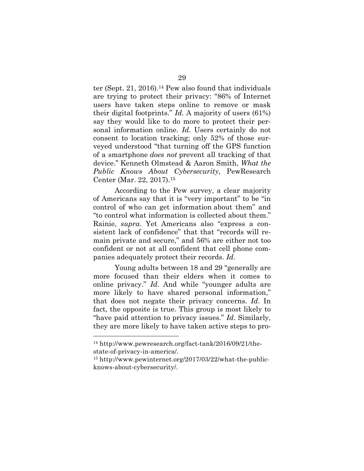ter (Sept. 21, 2016).14 Pew also found that individuals are trying to protect their privacy: "86% of Internet users have taken steps online to remove or mask their digital footprints." *Id.* A majority of users (61%) say they would like to do more to protect their personal information online. *Id*. Users certainly do not consent to location tracking; only 52% of those surveyed understood "that turning off the GPS function of a smartphone *does not* prevent all tracking of that device." Kenneth Olmstead & Aaron Smith, *What the Public Knows About Cybersecurity*, PewResearch Center (Mar. 22, 2017).15

According to the Pew survey, a clear majority of Americans say that it is "very important" to be "in control of who can get information about them" and "to control what information is collected about them." Rainie, *supra*. Yet Americans also "express a consistent lack of confidence" that that "records will remain private and secure," and 56% are either not too confident or not at all confident that cell phone companies adequately protect their records. *Id*.

Young adults between 18 and 29 "generally are more focused than their elders when it comes to online privacy." *Id*. And while "younger adults are more likely to have shared personal information," that does not negate their privacy concerns. *Id*. In fact, the opposite is true. This group is most likely to "have paid attention to privacy issues." *Id*. Similarly, they are more likely to have taken active steps to pro-

<sup>14</sup> http://www.pewresearch.org/fact-tank/2016/09/21/thestate-of-privacy-in-america/.

<sup>15</sup> http://www.pewinternet.org/2017/03/22/what-the-publicknows-about-cybersecurity/.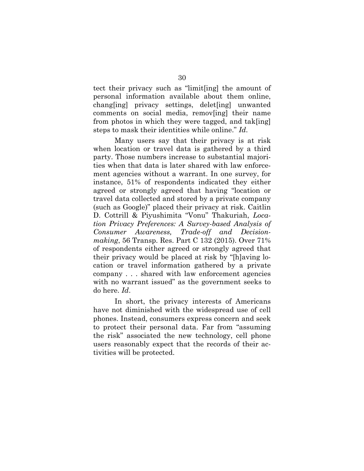tect their privacy such as "limit[ing] the amount of personal information available about them online, chang[ing] privacy settings, delet[ing] unwanted comments on social media, remov[ing] their name from photos in which they were tagged, and tak[ing] steps to mask their identities while online." *Id*.

Many users say that their privacy is at risk when location or travel data is gathered by a third party. Those numbers increase to substantial majorities when that data is later shared with law enforcement agencies without a warrant. In one survey, for instance, 51% of respondents indicated they either agreed or strongly agreed that having "location or travel data collected and stored by a private company (such as Google)" placed their privacy at risk. Caitlin D. Cottrill & Piyushimita "Vonu" Thakuriah, *Location Privacy Preferences: A Survey-based Analysis of Consumer Awareness, Trade-off and Decisionmaking*, 56 Transp. Res. Part C 132 (2015). Over 71% of respondents either agreed or strongly agreed that their privacy would be placed at risk by "[h]aving location or travel information gathered by a private company . . . shared with law enforcement agencies with no warrant issued" as the government seeks to do here. *Id*.

In short, the privacy interests of Americans have not diminished with the widespread use of cell phones. Instead, consumers express concern and seek to protect their personal data. Far from "assuming the risk" associated the new technology, cell phone users reasonably expect that the records of their activities will be protected.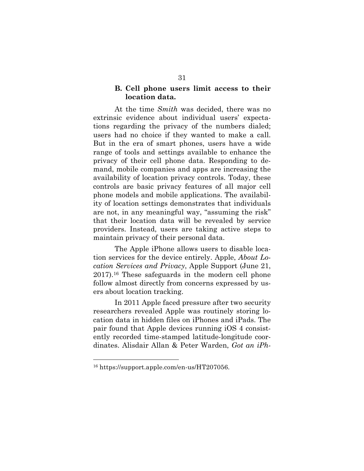#### **B. Cell phone users limit access to their location data.**

At the time *Smith* was decided, there was no extrinsic evidence about individual users' expectations regarding the privacy of the numbers dialed; users had no choice if they wanted to make a call. But in the era of smart phones, users have a wide range of tools and settings available to enhance the privacy of their cell phone data. Responding to demand, mobile companies and apps are increasing the availability of location privacy controls. Today, these controls are basic privacy features of all major cell phone models and mobile applications. The availability of location settings demonstrates that individuals are not, in any meaningful way, "assuming the risk" that their location data will be revealed by service providers. Instead, users are taking active steps to maintain privacy of their personal data.

The Apple iPhone allows users to disable location services for the device entirely. Apple, *About Location Services and Privacy*, Apple Support (June 21, 2017).16 These safeguards in the modern cell phone follow almost directly from concerns expressed by users about location tracking.

In 2011 Apple faced pressure after two security researchers revealed Apple was routinely storing location data in hidden files on iPhones and iPads. The pair found that Apple devices running iOS 4 consistently recorded time-stamped latitude-longitude coordinates. Alisdair Allan & Peter Warden, *Got an iPh-*

<sup>16</sup> https://support.apple.com/en-us/HT207056.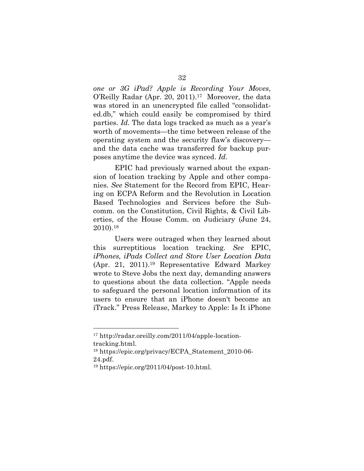*one or 3G iPad? Apple is Recording Your Moves*, O'Reilly Radar (Apr. 20, 2011).17 Moreover, the data was stored in an unencrypted file called "consolidated.db," which could easily be compromised by third parties. *Id*. The data logs tracked as much as a year's worth of movements—the time between release of the operating system and the security flaw's discovery and the data cache was transferred for backup purposes anytime the device was synced. *Id*.

EPIC had previously warned about the expansion of location tracking by Apple and other companies. *See* Statement for the Record from EPIC, Hearing on ECPA Reform and the Revolution in Location Based Technologies and Services before the Subcomm. on the Constitution, Civil Rights, & Civil Liberties, of the House Comm. on Judiciary (June 24, 2010).18

Users were outraged when they learned about this surreptitious location tracking. *See* EPIC, *iPhones, iPads Collect and Store User Location Data* (Apr. 21, 2011).19 Representative Edward Markey wrote to Steve Jobs the next day, demanding answers to questions about the data collection. "Apple needs to safeguard the personal location information of its users to ensure that an iPhone doesn't become an iTrack." Press Release, Markey to Apple: Is It iPhone

<sup>17</sup> http://radar.oreilly.com/2011/04/apple-locationtracking.html.

<sup>18</sup> https://epic.org/privacy/ECPA\_Statement\_2010-06- 24.pdf.

<sup>19</sup> https://epic.org/2011/04/post-10.html.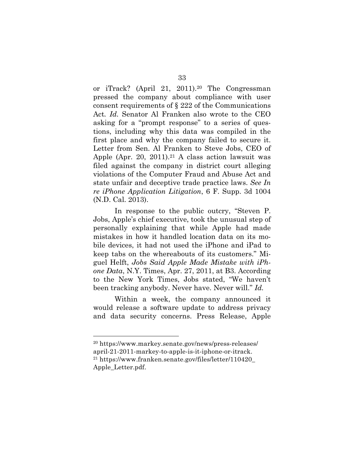or iTrack? (April 21, 2011).20 The Congressman pressed the company about compliance with user consent requirements of § 222 of the Communications Act*. Id.* Senator Al Franken also wrote to the CEO asking for a "prompt response" to a series of questions, including why this data was compiled in the first place and why the company failed to secure it. Letter from Sen. Al Franken to Steve Jobs, CEO of Apple (Apr. 20, 2011).<sup>21</sup> A class action lawsuit was filed against the company in district court alleging violations of the Computer Fraud and Abuse Act and state unfair and deceptive trade practice laws. *See In re iPhone Application Litigation*, 6 F. Supp. 3d 1004 (N.D. Cal. 2013).

In response to the public outcry, "Steven P. Jobs, Apple's chief executive, took the unusual step of personally explaining that while Apple had made mistakes in how it handled location data on its mobile devices, it had not used the iPhone and iPad to keep tabs on the whereabouts of its customers." Miguel Helft, *Jobs Said Apple Made Mistake with iPhone Data*, N.Y. Times, Apr. 27, 2011, at B3. According to the New York Times, Jobs stated, "We haven't been tracking anybody. Never have. Never will." *Id.*

Within a week, the company announced it would release a software update to address privacy and data security concerns. Press Release, Apple

<sup>20</sup> https://www.markey.senate.gov/news/press-releases/ april-21-2011-markey-to-apple-is-it-iphone-or-itrack. <sup>21</sup> https://www.franken.senate.gov/files/letter/110420\_ Apple\_Letter.pdf.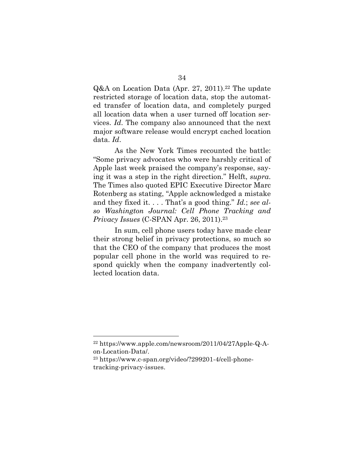Q&A on Location Data (Apr. 27, 2011).<sup>22</sup> The update restricted storage of location data, stop the automated transfer of location data, and completely purged all location data when a user turned off location services. *Id*. The company also announced that the next major software release would encrypt cached location data. *Id*.

As the New York Times recounted the battle: "Some privacy advocates who were harshly critical of Apple last week praised the company's response, saying it was a step in the right direction." Helft, *supra*. The Times also quoted EPIC Executive Director Marc Rotenberg as stating, "Apple acknowledged a mistake and they fixed it. . . . That's a good thing." *Id.*; *see also Washington Journal: Cell Phone Tracking and Privacy Issues* (C-SPAN Apr. 26, 2011).<sup>23</sup>

In sum, cell phone users today have made clear their strong belief in privacy protections, so much so that the CEO of the company that produces the most popular cell phone in the world was required to respond quickly when the company inadvertently collected location data.

<sup>22</sup> https://www.apple.com/newsroom/2011/04/27Apple-Q-Aon-Location-Data/.

<sup>23</sup> https://www.c-span.org/video/?299201-4/cell-phonetracking-privacy-issues.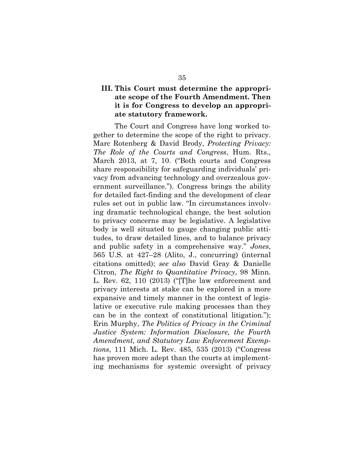### **III. This Court must determine the appropriate scope of the Fourth Amendment. Then it is for Congress to develop an appropriate statutory framework.**

The Court and Congress have long worked together to determine the scope of the right to privacy. Marc Rotenberg & David Brody, *Protecting Privacy: The Role of the Courts and Congress*, Hum. Rts., March 2013, at 7, 10. ("Both courts and Congress share responsibility for safeguarding individuals' privacy from advancing technology and overzealous government surveillance."). Congress brings the ability for detailed fact-finding and the development of clear rules set out in public law. "In circumstances involving dramatic technological change, the best solution to privacy concerns may be legislative. A legislative body is well situated to gauge changing public attitudes, to draw detailed lines, and to balance privacy and public safety in a comprehensive way." *Jones*, 565 U.S. at 427–28 (Alito, J., concurring) (internal citations omitted); *see also* David Gray & Danielle Citron, *The Right to Quantitative Privacy*, 98 Minn. L. Rev. 62, 110 (2013) ("[T]he law enforcement and privacy interests at stake can be explored in a more expansive and timely manner in the context of legislative or executive rule making processes than they can be in the context of constitutional litigation."); Erin Murphy, *The Politics of Privacy in the Criminal Justice System: Information Disclosure, the Fourth Amendment, and Statutory Law Enforcement Exemptions*, 111 Mich. L. Rev. 485, 535 (2013) ("Congress has proven more adept than the courts at implementing mechanisms for systemic oversight of privacy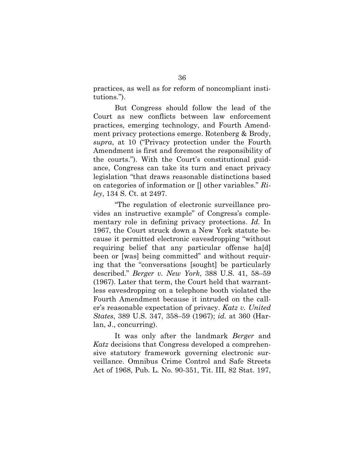practices, as well as for reform of noncompliant institutions.").

But Congress should follow the lead of the Court as new conflicts between law enforcement practices, emerging technology, and Fourth Amendment privacy protections emerge. Rotenberg & Brody, *supra*, at 10 ("Privacy protection under the Fourth Amendment is first and foremost the responsibility of the courts."). With the Court's constitutional guidance, Congress can take its turn and enact privacy legislation "that draws reasonable distinctions based on categories of information or [] other variables." *Riley*, 134 S. Ct. at 2497.

"The regulation of electronic surveillance provides an instructive example" of Congress's complementary role in defining privacy protections. *Id.* In 1967, the Court struck down a New York statute because it permitted electronic eavesdropping "without requiring belief that any particular offense ha[d] been or [was] being committed" and without requiring that the "conversations [sought] be particularly described." *Berger v. New York*, 388 U.S. 41, 58–59 (1967). Later that term, the Court held that warrantless eavesdropping on a telephone booth violated the Fourth Amendment because it intruded on the caller's reasonable expectation of privacy. *Katz v. United States*, 389 U.S. 347, 358–59 (1967); *id.* at 360 (Harlan, J., concurring).

It was only after the landmark *Berger* and *Katz* decisions that Congress developed a comprehensive statutory framework governing electronic surveillance. Omnibus Crime Control and Safe Streets Act of 1968, Pub. L. No. 90-351, Tit. III, 82 Stat. 197,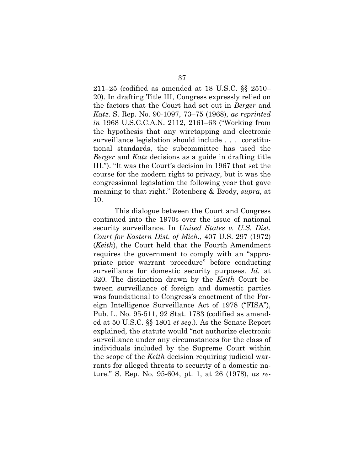211–25 (codified as amended at 18 U.S.C. §§ 2510– 20). In drafting Title III, Congress expressly relied on the factors that the Court had set out in *Berger* and *Katz*. S. Rep. No. 90-1097, 73–75 (1968), *as reprinted in* 1968 U.S.C.C.A.N. 2112, 2161–63 ("Working from the hypothesis that any wiretapping and electronic surveillance legislation should include . . . constitutional standards, the subcommittee has used the *Berger* and *Katz* decisions as a guide in drafting title III."). "It was the Court's decision in 1967 that set the course for the modern right to privacy, but it was the congressional legislation the following year that gave meaning to that right." Rotenberg & Brody, *supra*, at 10.

This dialogue between the Court and Congress continued into the 1970s over the issue of national security surveillance. In *United States v. U.S. Dist. Court for Eastern Dist. of Mich.*, 407 U.S. 297 (1972) (*Keith*), the Court held that the Fourth Amendment requires the government to comply with an "appropriate prior warrant procedure" before conducting surveillance for domestic security purposes. *Id.* at 320. The distinction drawn by the *Keith* Court between surveillance of foreign and domestic parties was foundational to Congress's enactment of the Foreign Intelligence Surveillance Act of 1978 ("FISA"), Pub. L. No. 95-511, 92 Stat. 1783 (codified as amended at 50 U.S.C. §§ 1801 *et seq.*). As the Senate Report explained, the statute would "not authorize electronic surveillance under any circumstances for the class of individuals included by the Supreme Court within the scope of the *Keith* decision requiring judicial warrants for alleged threats to security of a domestic nature." S. Rep. No. 95-604, pt. 1, at 26 (1978), *as re-*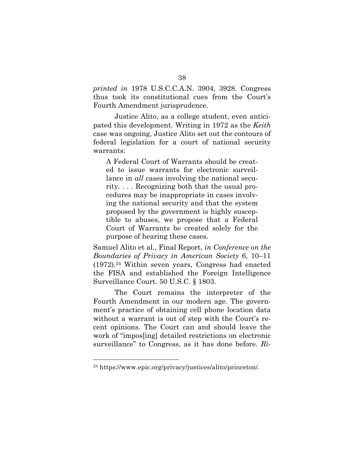*printed in* 1978 U.S.C.C.A.N. 3904, 3928. Congress thus took its constitutional cues from the Court's Fourth Amendment jurisprudence.

Justice Alito, as a college student, even anticipated this development. Writing in 1972 as the *Keith* case was ongoing, Justice Alito set out the contours of federal legislation for a court of national security warrants:

A Federal Court of Warrants should be created to issue warrants for electronic surveillance in *all* cases involving the national security. . . . Recognizing both that the usual procedures may be inappropriate in cases involving the national security and that the system proposed by the government is highly susceptible to abuses, we propose that a Federal Court of Warrants be created solely for the purpose of hearing these cases.

Samuel Alito et al., Final Report, *in Conference on the Boundaries of Privacy in American Society* 6, 10–11 (1972).24 Within seven years, Congress had enacted the FISA and established the Foreign Intelligence Surveillance Court. 50 U.S.C. § 1803.

The Court remains the interpreter of the Fourth Amendment in our modern age. The government's practice of obtaining cell phone location data without a warrant is out of step with the Court's recent opinions. The Court can and should leave the work of "impos[ing] detailed restrictions on electronic surveillance" to Congress, as it has done before. *Ri-*

<sup>24</sup> https://www.epic.org/privacy/justices/alito/princeton/.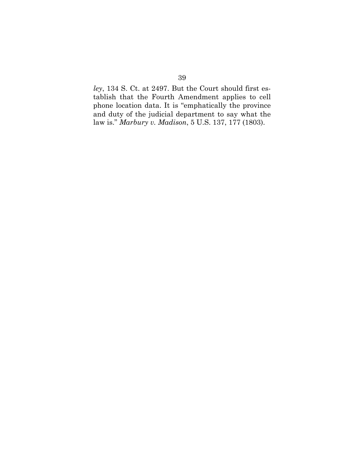*ley*, 134 S. Ct. at 2497. But the Court should first establish that the Fourth Amendment applies to cell phone location data. It is "emphatically the province and duty of the judicial department to say what the law is." *Marbury v. Madison*, 5 U.S. 137, 177 (1803).